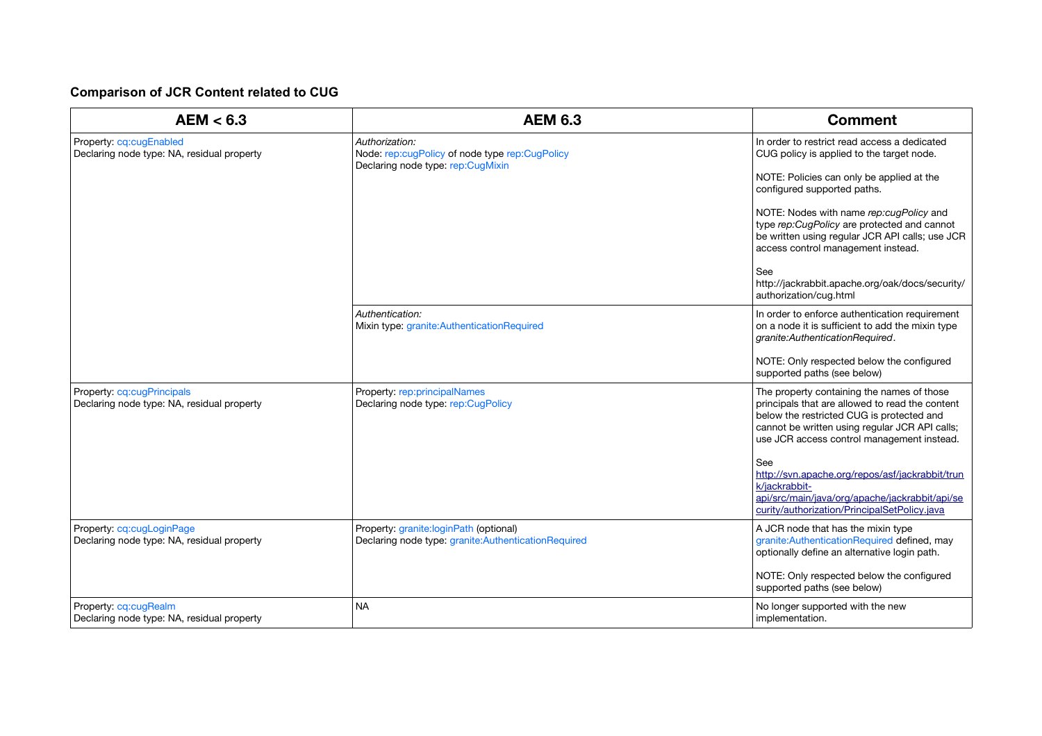## **Comparison of JCR Content related to CUG**

| AEM < 6.3                                                                | <b>AEM 6.3</b>                                                                                        | <b>Comment</b>                                                                                                                                                                                                                                                                                                                                                                                                                                |
|--------------------------------------------------------------------------|-------------------------------------------------------------------------------------------------------|-----------------------------------------------------------------------------------------------------------------------------------------------------------------------------------------------------------------------------------------------------------------------------------------------------------------------------------------------------------------------------------------------------------------------------------------------|
| Property: cq:cugEnabled<br>Declaring node type: NA, residual property    | Authorization:<br>Node: rep:cugPolicy of node type rep:CugPolicy<br>Declaring node type: rep:CugMixin | In order to restrict read access a dedicated<br>CUG policy is applied to the target node.<br>NOTE: Policies can only be applied at the<br>configured supported paths.<br>NOTE: Nodes with name rep:cugPolicy and<br>type rep: CugPolicy are protected and cannot<br>be written using regular JCR API calls; use JCR<br>access control management instead.<br>See<br>http://jackrabbit.apache.org/oak/docs/security/<br>authorization/cug.html |
|                                                                          | Authentication:<br>Mixin type: granite:AuthenticationRequired                                         | In order to enforce authentication requirement<br>on a node it is sufficient to add the mixin type<br>granite: AuthenticationRequired.<br>NOTE: Only respected below the configured<br>supported paths (see below)                                                                                                                                                                                                                            |
| Property: cq:cugPrincipals<br>Declaring node type: NA, residual property | Property: rep:principalNames<br>Declaring node type: rep: CugPolicy                                   | The property containing the names of those<br>principals that are allowed to read the content<br>below the restricted CUG is protected and<br>cannot be written using regular JCR API calls;<br>use JCR access control management instead.<br>See<br>http://svn.apache.org/repos/asf/jackrabbit/trun<br>k/jackrabbit-<br>api/src/main/java/org/apache/jackrabbit/api/se<br>curity/authorization/PrincipalSetPolicy.java                       |
| Property: cq:cugLoginPage<br>Declaring node type: NA, residual property  | Property: granite: loginPath (optional)<br>Declaring node type: granite:AuthenticationRequired        | A JCR node that has the mixin type<br>granite: Authentication Required defined, may<br>optionally define an alternative login path.<br>NOTE: Only respected below the configured<br>supported paths (see below)                                                                                                                                                                                                                               |
| Property: cq:cugRealm<br>Declaring node type: NA, residual property      | <b>NA</b>                                                                                             | No longer supported with the new<br>implementation.                                                                                                                                                                                                                                                                                                                                                                                           |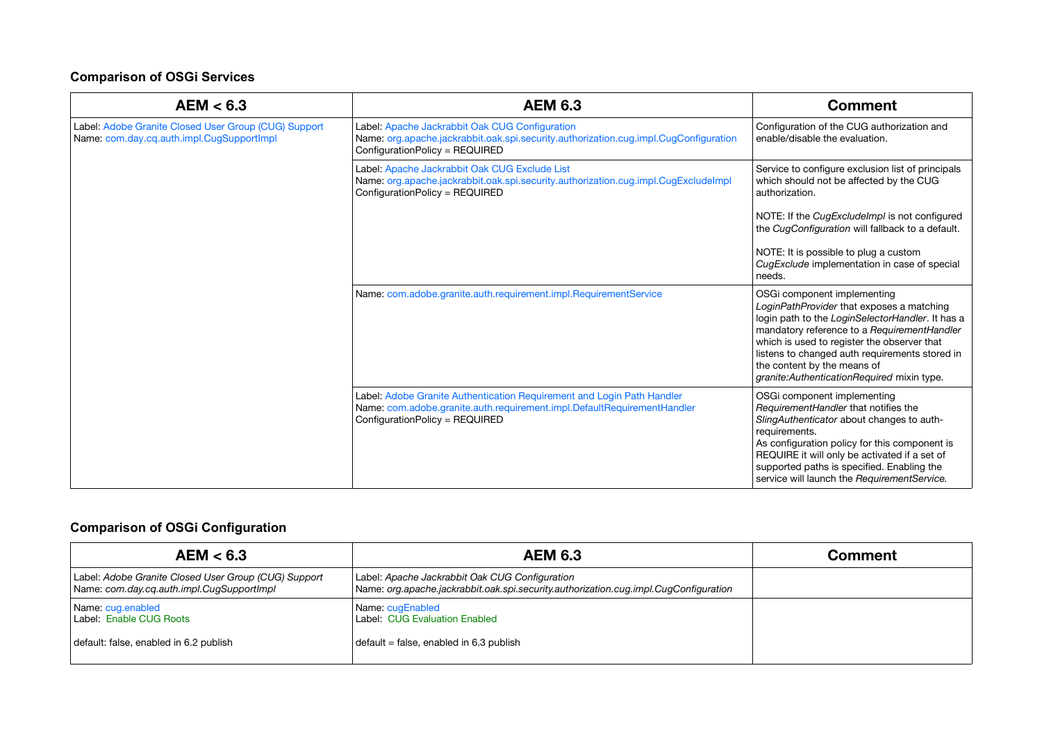## **Comparison of OSGi Services**

| AEM < 6.3                                                                                         | <b>AEM 6.3</b>                                                                                                                                                                      | <b>Comment</b>                                                                                                                                                                                                                                                                                                                                              |
|---------------------------------------------------------------------------------------------------|-------------------------------------------------------------------------------------------------------------------------------------------------------------------------------------|-------------------------------------------------------------------------------------------------------------------------------------------------------------------------------------------------------------------------------------------------------------------------------------------------------------------------------------------------------------|
| Label: Adobe Granite Closed User Group (CUG) Support<br>Name: com.day.cq.auth.impl.CugSupportImpl | Label: Apache Jackrabbit Oak CUG Configuration<br>Name: org.apache.jackrabbit.oak.spi.security.authorization.cug.impl.CugConfiguration<br>ConfigurationPolicy = REQUIRED            | Configuration of the CUG authorization and<br>enable/disable the evaluation.                                                                                                                                                                                                                                                                                |
|                                                                                                   | Label: Apache Jackrabbit Oak CUG Exclude List<br>Name: org.apache.jackrabbit.oak.spi.security.authorization.cug.impl.CugExcludeImpl<br>ConfigurationPolicy = REQUIRED               | Service to configure exclusion list of principals<br>which should not be affected by the CUG<br>authorization.                                                                                                                                                                                                                                              |
|                                                                                                   |                                                                                                                                                                                     | NOTE: If the CugExclude Impl is not configured<br>the CugConfiguration will fallback to a default.                                                                                                                                                                                                                                                          |
|                                                                                                   |                                                                                                                                                                                     | NOTE: It is possible to plug a custom<br>CugExclude implementation in case of special<br>needs.                                                                                                                                                                                                                                                             |
|                                                                                                   | Name: com.adobe.granite.auth.requirement.impl.RequirementService                                                                                                                    | OSGi component implementing<br>LoginPathProvider that exposes a matching<br>login path to the LoginSelectorHandler. It has a<br>mandatory reference to a RequirementHandler<br>which is used to register the observer that<br>listens to changed auth requirements stored in<br>the content by the means of<br>granite: Authentication Required mixin type. |
|                                                                                                   | Label: Adobe Granite Authentication Requirement and Login Path Handler<br>Name: com.adobe.granite.auth.requirement.impl.DefaultRequirementHandler<br>ConfigurationPolicy = REQUIRED | OSGi component implementing<br>RequirementHandler that notifies the<br>SlingAuthenticator about changes to auth-<br>requirements.<br>As configuration policy for this component is<br>REQUIRE it will only be activated if a set of<br>supported paths is specified. Enabling the<br>service will launch the RequirementService.                            |

## **Comparison of OSGi Configuration**

| AEM < 6.3                                                                                         | <b>AEM 6.3</b>                                                                                                                         | <b>Comment</b> |
|---------------------------------------------------------------------------------------------------|----------------------------------------------------------------------------------------------------------------------------------------|----------------|
| Label: Adobe Granite Closed User Group (CUG) Support<br>Name: com.day.cq.auth.impl.CugSupportImpl | Label: Apache Jackrabbit Oak CUG Configuration<br>Name: org.apache.jackrabbit.oak.spi.security.authorization.cug.impl.CugConfiguration |                |
| Name: cug.enabled<br>Label: Enable CUG Roots                                                      | Name: cugEnabled<br>Label: CUG Evaluation Enabled                                                                                      |                |
| default: false, enabled in 6.2 publish                                                            | $default = false$ , enabled in 6.3 publish                                                                                             |                |